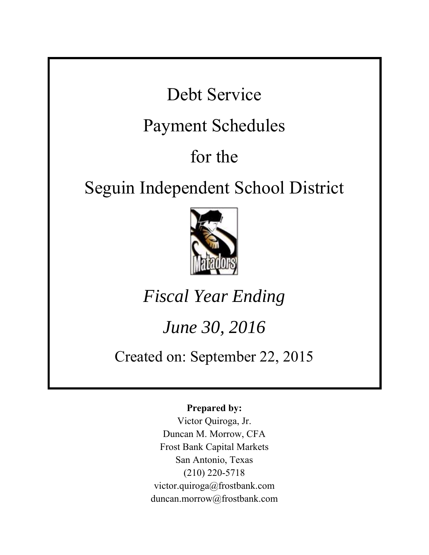Debt Service

### Payment Schedules

# for the

## Seguin Independent School District



## *Fiscal Year Ending*

### *June 30, 2016*

### Created on: September 22, 2015

### **Prepared by:**

Victor Quiroga, Jr. Duncan M. Morrow, CFA Frost Bank Capital Markets San Antonio, Texas (210) 220-5718 victor.quiroga@frostbank.com duncan.morrow@frostbank.com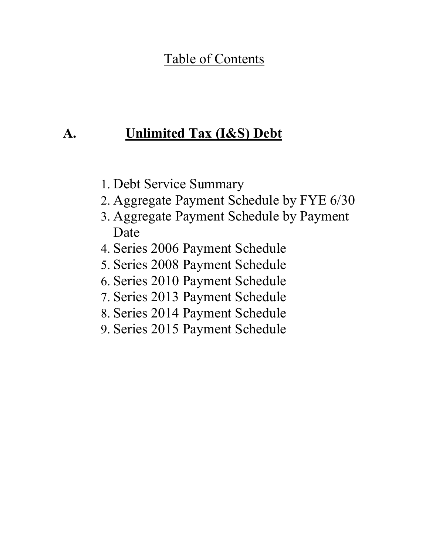### Table of Contents

### **A. Unlimited Tax (I&S) Debt**

- 1. Debt Service Summary
- 2. Aggregate Payment Schedule by FYE 6/30
- 3. Aggregate Payment Schedule by Payment Date
- 4. Series 2006 Payment Schedule
- 5. Series 2008 Payment Schedule
- 6. Series 2010 Payment Schedule
- 7. Series 2013 Payment Schedule
- 8. Series 2014 Payment Schedule
- 9. Series 2015 Payment Schedule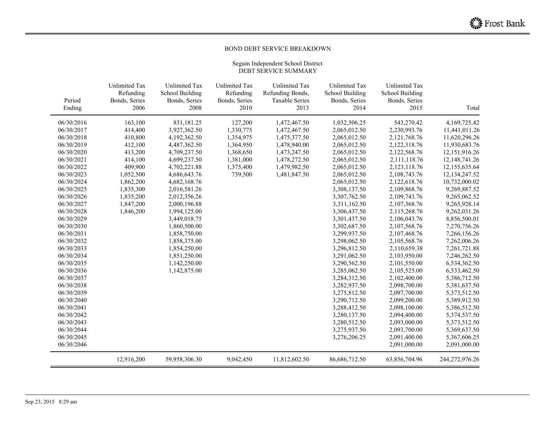#### BOND DEBT SERVICE BREAKDOWN

#### Seguin Independent School District DEBT SERVICE SUMMARY

|                  | <b>Unlimited Tax</b>  | <b>Unlimited Tax</b>  | <b>Unlimited Tax</b>  | <b>Unlimited Tax</b>          | <b>Unlimited Tax</b>  | <b>Unlimited Tax</b>   |                  |
|------------------|-----------------------|-----------------------|-----------------------|-------------------------------|-----------------------|------------------------|------------------|
|                  | Refunding             | School Building       | Refunding             | Refunding Bonds,              | School Building       | <b>School Building</b> |                  |
| Period<br>Ending | Bonds, Series<br>2006 | Bonds, Series<br>2008 | Bonds, Series<br>2010 | <b>Taxable Series</b><br>2013 | Bonds, Series<br>2014 | Bonds, Series<br>2015  | Total            |
|                  |                       |                       |                       |                               |                       |                        |                  |
| 06/30/2016       | 163,100               | 831,181.25            | 127,200               | 1,472,467.50                  | 1,032,506.25          | 543,270.42             | 4,169,725.42     |
| 06/30/2017       | 414,400               | 3,927,362.50          | 1,330,775             | 1,472,467.50                  | 2,065,012.50          | 2,230,993.76           | 11,441,011.26    |
| 06/30/2018       | 410,800               | 4,192,362.50          | 1,354,975             | 1,475,377.50                  | 2,065,012.50          | 2, 121, 768. 76        | 11,620,296.26    |
| 06/30/2019       | 412,100               | 4,487,362.50          | 1,364,950             | 1,478,940.00                  | 2,065,012.50          | 2,122,318.76           | 11,930,683.76    |
| 06/30/2020       | 413,200               | 4,709,237.50          | 1,368,650             | 1,473,247.50                  | 2,065,012.50          | 2,122,568.76           | 12,151,916.26    |
| 06/30/2021       | 414,100               | 4,699,237.50          | 1,381,000             | 1,478,272.50                  | 2,065,012.50          | 2,111,118.76           | 12, 148, 741. 26 |
| 06/30/2022       | 409,900               | 4,702,221.88          | 1,375,400             | 1,479,982.50                  | 2,065,012.50          | 2,123,118.76           | 12,155,635.64    |
| 06/30/2023       | 1,052,500             | 4,686,643.76          | 739,500               | 1,481,847.50                  | 2,065,012.50          | 2,108,743.76           | 12,134,247.52    |
| 06/30/2024       | 1,862,200             | 4,682,168.76          |                       |                               | 2,065,012.50          | 2,122,618.76           | 10,732,000.02    |
| 06/30/2025       | 1,835,300             | 2,016,581.26          |                       |                               | 3,308,137.50          | 2,109,868.76           | 9,269,887.52     |
| 06/30/2026       | 1,835,200             | 2,012,356.26          |                       |                               | 3,307,762.50          | 2,109,743.76           | 9,265,062.52     |
| 06/30/2027       | 1,847,200             | 2,000,196.88          |                       |                               | 3,311,162.50          | 2,107,368.76           | 9,265,928.14     |
| 06/30/2028       | 1,846,200             | 1,994,125.00          |                       |                               | 3,306,437.50          | 2,115,268.76           | 9,262,031.26     |
| 06/30/2029       |                       | 3,449,018.75          |                       |                               | 3,301,437.50          | 2,106,043.76           | 8,856,500.01     |
| 06/30/2030       |                       | 1,860,500.00          |                       |                               | 3,302,687.50          | 2,107,568.76           | 7,270,756.26     |
| 06/30/2031       |                       | 1,858,750.00          |                       |                               | 3,299,937.50          | 2,107,468.76           | 7,266,156.26     |
| 06/30/2032       |                       | 1,858,375.00          |                       |                               | 3,298,062.50          | 2,105,568.76           | 7,262,006.26     |
| 06/30/2033       |                       | 1,854,250.00          |                       |                               | 3,296,812.50          | 2,110,659.38           | 7,261,721.88     |
| 06/30/2034       |                       | 1,851,250.00          |                       |                               | 3,291,062.50          | 2,103,950.00           | 7,246,262.50     |
| 06/30/2035       |                       | 1,142,250.00          |                       |                               | 3,290,562.50          | 2,101,550.00           | 6,534,362.50     |
| 06/30/2036       |                       | 1,142,875.00          |                       |                               | 3,285,062.50          | 2,105,525.00           | 6,533,462.50     |
| 06/30/2037       |                       |                       |                       |                               | 3,284,312.50          | 2,102,400.00           | 5,386,712.50     |
| 06/30/2038       |                       |                       |                       |                               | 3,282,937.50          | 2,098,700.00           | 5,381,637.50     |
| 06/30/2039       |                       |                       |                       |                               | 3,275,812.50          | 2,097,700.00           | 5,373,512.50     |
| 06/30/2040       |                       |                       |                       |                               | 3,290,712.50          | 2,099,200.00           | 5,389,912.50     |
| 06/30/2041       |                       |                       |                       |                               | 3,288,412.50          | 2,098,100.00           | 5,386,512.50     |
| 06/30/2042       |                       |                       |                       |                               | 3,280,137.50          | 2,094,400.00           | 5,374,537.50     |
| 06/30/2043       |                       |                       |                       |                               | 3,280,512.50          | 2,093,000.00           | 5,373,512.50     |
| 06/30/2044       |                       |                       |                       |                               | 3,275,937.50          | 2,093,700.00           | 5,369,637.50     |
| 06/30/2045       |                       |                       |                       |                               | 3,276,206.25          | 2,091,400.00           | 5,367,606.25     |
| 06/30/2046       |                       |                       |                       |                               |                       | 2,091,000.00           | 2,091,000.00     |
|                  | 12,916,200            | 59,958,306.30         | 9,042,450             | 11,812,602.50                 | 86,686,712.50         | 63,856,704.96          | 244,272,976.26   |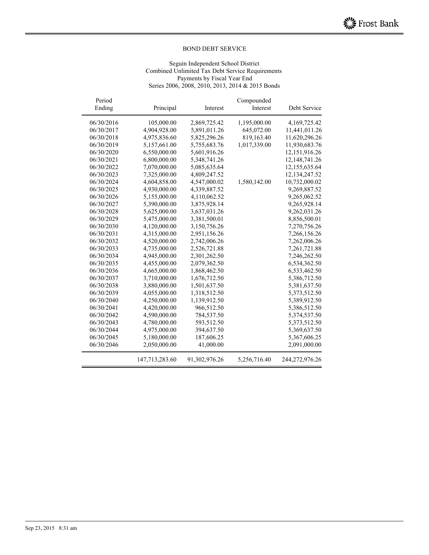#### Seguin Independent School District Combined Unlimited Tax Debt Service Requirements Payments by Fiscal Year End Series 2006, 2008, 2010, 2013, 2014 & 2015 Bonds

| Period<br>Ending | Principal      | Interest      | Compounded<br>Interest | Debt Service     |
|------------------|----------------|---------------|------------------------|------------------|
| 06/30/2016       | 105,000.00     | 2,869,725.42  | 1,195,000.00           | 4,169,725.42     |
| 06/30/2017       | 4,904,928.00   | 5,891,011.26  | 645,072.00             | 11,441,011.26    |
| 06/30/2018       | 4,975,836.60   | 5,825,296.26  | 819,163.40             | 11,620,296.26    |
| 06/30/2019       | 5,157,661.00   | 5,755,683.76  | 1,017,339.00           | 11,930,683.76    |
| 06/30/2020       | 6,550,000.00   | 5,601,916.26  |                        | 12,151,916.26    |
| 06/30/2021       | 6,800,000.00   | 5,348,741.26  |                        | 12, 148, 741. 26 |
| 06/30/2022       | 7,070,000.00   | 5,085,635.64  |                        | 12,155,635.64    |
| 06/30/2023       | 7,325,000.00   | 4,809,247.52  |                        | 12,134,247.52    |
| 06/30/2024       | 4,604,858.00   | 4,547,000.02  | 1,580,142.00           | 10,732,000.02    |
| 06/30/2025       | 4,930,000.00   | 4,339,887.52  |                        | 9,269,887.52     |
| 06/30/2026       | 5,155,000.00   | 4,110,062.52  |                        | 9,265,062.52     |
| 06/30/2027       | 5,390,000.00   | 3,875,928.14  |                        | 9,265,928.14     |
| 06/30/2028       | 5,625,000.00   | 3,637,031.26  |                        | 9,262,031.26     |
| 06/30/2029       | 5,475,000.00   | 3,381,500.01  |                        | 8,856,500.01     |
| 06/30/2030       | 4,120,000.00   | 3,150,756.26  |                        | 7,270,756.26     |
| 06/30/2031       | 4,315,000.00   | 2,951,156.26  |                        | 7,266,156.26     |
| 06/30/2032       | 4,520,000.00   | 2,742,006.26  |                        | 7,262,006.26     |
| 06/30/2033       | 4,735,000.00   | 2,526,721.88  |                        | 7,261,721.88     |
| 06/30/2034       | 4,945,000.00   | 2,301,262.50  |                        | 7,246,262.50     |
| 06/30/2035       | 4,455,000.00   | 2,079,362.50  |                        | 6,534,362.50     |
| 06/30/2036       | 4,665,000.00   | 1,868,462.50  |                        | 6,533,462.50     |
| 06/30/2037       | 3,710,000.00   | 1,676,712.50  |                        | 5,386,712.50     |
| 06/30/2038       | 3,880,000.00   | 1,501,637.50  |                        | 5,381,637.50     |
| 06/30/2039       | 4,055,000.00   | 1,318,512.50  |                        | 5,373,512.50     |
| 06/30/2040       | 4,250,000.00   | 1,139,912.50  |                        | 5,389,912.50     |
| 06/30/2041       | 4,420,000.00   | 966,512.50    |                        | 5,386,512.50     |
| 06/30/2042       | 4,590,000.00   | 784,537.50    |                        | 5,374,537.50     |
| 06/30/2043       | 4,780,000.00   | 593,512.50    |                        | 5,373,512.50     |
| 06/30/2044       | 4,975,000.00   | 394,637.50    |                        | 5,369,637.50     |
| 06/30/2045       | 5,180,000.00   | 187,606.25    |                        | 5,367,606.25     |
| 06/30/2046       | 2,050,000.00   | 41,000.00     |                        | 2,091,000.00     |
|                  | 147,713,283.60 | 91,302,976.26 | 5,256,716.40           | 244,272,976.26   |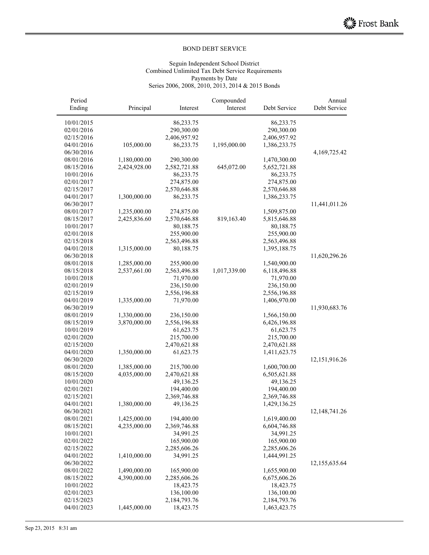#### Seguin Independent School District Combined Unlimited Tax Debt Service Requirements Payments by Date Series 2006, 2008, 2010, 2013, 2014 & 2015 Bonds

| Annual          |              | Compounded   |              |              | Period     |
|-----------------|--------------|--------------|--------------|--------------|------------|
| Debt Service    | Debt Service | Interest     | Interest     | Principal    | Ending     |
|                 | 86,233.75    |              | 86,233.75    |              | 10/01/2015 |
|                 | 290,300.00   |              | 290,300.00   |              | 02/01/2016 |
|                 | 2,406,957.92 |              | 2,406,957.92 |              | 02/15/2016 |
|                 | 1,386,233.75 | 1,195,000.00 | 86,233.75    | 105,000.00   | 04/01/2016 |
| 4, 169, 725. 42 |              |              |              |              | 06/30/2016 |
|                 | 1,470,300.00 |              | 290,300.00   | 1,180,000.00 | 08/01/2016 |
|                 | 5,652,721.88 | 645,072.00   | 2,582,721.88 | 2,424,928.00 | 08/15/2016 |
|                 | 86,233.75    |              | 86,233.75    |              | 10/01/2016 |
|                 | 274,875.00   |              | 274,875.00   |              | 02/01/2017 |
|                 | 2,570,646.88 |              | 2,570,646.88 |              | 02/15/2017 |
|                 | 1,386,233.75 |              | 86,233.75    | 1,300,000.00 | 04/01/2017 |
| 11,441,011.26   |              |              |              |              | 06/30/2017 |
|                 | 1,509,875.00 |              | 274,875.00   | 1,235,000.00 | 08/01/2017 |
|                 | 5,815,646.88 | 819,163.40   | 2,570,646.88 | 2,425,836.60 | 08/15/2017 |
|                 | 80,188.75    |              | 80,188.75    |              | 10/01/2017 |
|                 | 255,900.00   |              | 255,900.00   |              | 02/01/2018 |
|                 | 2,563,496.88 |              | 2,563,496.88 |              | 02/15/2018 |
|                 | 1,395,188.75 |              | 80,188.75    | 1,315,000.00 | 04/01/2018 |
| 11,620,296.26   |              |              |              |              | 06/30/2018 |
|                 | 1,540,900.00 |              | 255,900.00   | 1,285,000.00 | 08/01/2018 |
|                 | 6,118,496.88 | 1,017,339.00 | 2,563,496.88 | 2,537,661.00 | 08/15/2018 |
|                 | 71,970.00    |              | 71,970.00    |              | 10/01/2018 |
|                 | 236,150.00   |              | 236,150.00   |              | 02/01/2019 |
|                 | 2,556,196.88 |              | 2,556,196.88 |              | 02/15/2019 |
|                 | 1,406,970.00 |              | 71,970.00    | 1,335,000.00 | 04/01/2019 |
| 11,930,683.76   |              |              |              |              | 06/30/2019 |
|                 | 1,566,150.00 |              | 236,150.00   | 1,330,000.00 | 08/01/2019 |
|                 | 6,426,196.88 |              | 2,556,196.88 | 3,870,000.00 | 08/15/2019 |
|                 | 61,623.75    |              | 61,623.75    |              | 10/01/2019 |
|                 | 215,700.00   |              | 215,700.00   |              | 02/01/2020 |
|                 | 2,470,621.88 |              | 2,470,621.88 |              | 02/15/2020 |
|                 | 1,411,623.75 |              | 61,623.75    | 1,350,000.00 | 04/01/2020 |
| 12,151,916.26   |              |              |              |              | 06/30/2020 |
|                 | 1,600,700.00 |              | 215,700.00   | 1,385,000.00 | 08/01/2020 |
|                 | 6,505,621.88 |              | 2,470,621.88 | 4,035,000.00 | 08/15/2020 |
|                 | 49,136.25    |              | 49,136.25    |              | 10/01/2020 |
|                 | 194,400.00   |              | 194,400.00   |              | 02/01/2021 |
|                 | 2,369,746.88 |              | 2,369,746.88 |              | 02/15/2021 |
|                 | 1,429,136.25 |              | 49,136.25    | 1,380,000.00 | 04/01/2021 |
| 12,148,741.26   |              |              |              |              | 06/30/2021 |
|                 | 1,619,400.00 |              | 194,400.00   | 1,425,000.00 | 08/01/2021 |
|                 | 6,604,746.88 |              | 2,369,746.88 | 4,235,000.00 | 08/15/2021 |
|                 | 34,991.25    |              | 34,991.25    |              | 10/01/2021 |
|                 | 165,900.00   |              | 165,900.00   |              | 02/01/2022 |
|                 | 2,285,606.26 |              | 2,285,606.26 |              | 02/15/2022 |
|                 | 1,444,991.25 |              | 34,991.25    | 1,410,000.00 | 04/01/2022 |
| 12,155,635.64   |              |              |              |              | 06/30/2022 |
|                 | 1,655,900.00 |              | 165,900.00   | 1,490,000.00 | 08/01/2022 |
|                 | 6,675,606.26 |              | 2,285,606.26 | 4,390,000.00 | 08/15/2022 |
|                 | 18,423.75    |              | 18,423.75    |              | 10/01/2022 |
|                 | 136,100.00   |              | 136,100.00   |              | 02/01/2023 |
|                 | 2,184,793.76 |              | 2,184,793.76 |              | 02/15/2023 |
|                 | 1,463,423.75 |              | 18,423.75    | 1,445,000.00 | 04/01/2023 |
|                 |              |              |              |              |            |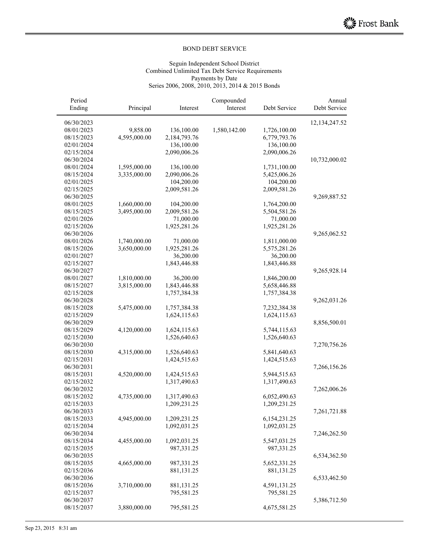#### Seguin Independent School District Combined Unlimited Tax Debt Service Requirements Payments by Date Series 2006, 2008, 2010, 2013, 2014 & 2015 Bonds

| Period     |              |              | Compounded   |              | Annual          |
|------------|--------------|--------------|--------------|--------------|-----------------|
| Ending     | Principal    | Interest     | Interest     | Debt Service | Debt Service    |
| 06/30/2023 |              |              |              |              | 12, 134, 247.52 |
| 08/01/2023 | 9,858.00     | 136,100.00   | 1,580,142.00 | 1,726,100.00 |                 |
| 08/15/2023 | 4,595,000.00 | 2,184,793.76 |              | 6,779,793.76 |                 |
| 02/01/2024 |              | 136,100.00   |              | 136,100.00   |                 |
| 02/15/2024 |              | 2,090,006.26 |              | 2,090,006.26 |                 |
| 06/30/2024 |              |              |              |              | 10,732,000.02   |
| 08/01/2024 | 1,595,000.00 | 136,100.00   |              | 1,731,100.00 |                 |
| 08/15/2024 | 3,335,000.00 | 2,090,006.26 |              | 5,425,006.26 |                 |
| 02/01/2025 |              | 104,200.00   |              | 104,200.00   |                 |
| 02/15/2025 |              | 2,009,581.26 |              | 2,009,581.26 |                 |
| 06/30/2025 |              |              |              |              | 9,269,887.52    |
| 08/01/2025 | 1,660,000.00 | 104,200.00   |              | 1,764,200.00 |                 |
| 08/15/2025 | 3,495,000.00 | 2,009,581.26 |              | 5,504,581.26 |                 |
| 02/01/2026 |              | 71,000.00    |              | 71,000.00    |                 |
| 02/15/2026 |              | 1,925,281.26 |              | 1,925,281.26 |                 |
| 06/30/2026 |              |              |              |              | 9,265,062.52    |
| 08/01/2026 | 1,740,000.00 | 71,000.00    |              | 1,811,000.00 |                 |
| 08/15/2026 | 3,650,000.00 | 1,925,281.26 |              | 5,575,281.26 |                 |
| 02/01/2027 |              | 36,200.00    |              | 36,200.00    |                 |
| 02/15/2027 |              | 1,843,446.88 |              | 1,843,446.88 |                 |
| 06/30/2027 |              |              |              |              | 9,265,928.14    |
| 08/01/2027 | 1,810,000.00 | 36,200.00    |              | 1,846,200.00 |                 |
| 08/15/2027 | 3,815,000.00 | 1,843,446.88 |              | 5,658,446.88 |                 |
| 02/15/2028 |              | 1,757,384.38 |              | 1,757,384.38 |                 |
| 06/30/2028 |              |              |              |              | 9,262,031.26    |
| 08/15/2028 | 5,475,000.00 | 1,757,384.38 |              | 7,232,384.38 |                 |
| 02/15/2029 |              | 1,624,115.63 |              | 1,624,115.63 |                 |
| 06/30/2029 |              |              |              |              | 8,856,500.01    |
| 08/15/2029 | 4,120,000.00 | 1,624,115.63 |              | 5,744,115.63 |                 |
| 02/15/2030 |              | 1,526,640.63 |              | 1,526,640.63 |                 |
| 06/30/2030 |              |              |              |              | 7,270,756.26    |
| 08/15/2030 | 4,315,000.00 | 1,526,640.63 |              | 5,841,640.63 |                 |
| 02/15/2031 |              | 1,424,515.63 |              | 1,424,515.63 |                 |
| 06/30/2031 |              |              |              |              | 7,266,156.26    |
| 08/15/2031 | 4,520,000.00 | 1,424,515.63 |              | 5,944,515.63 |                 |
| 02/15/2032 |              | 1,317,490.63 |              | 1,317,490.63 |                 |
| 06/30/2032 |              |              |              |              | 7,262,006.26    |
| 08/15/2032 | 4,735,000.00 | 1,317,490.63 |              | 6,052,490.63 |                 |
| 02/15/2033 |              | 1,209,231.25 |              | 1,209,231.25 |                 |
| 06/30/2033 |              |              |              |              | 7,261,721.88    |
| 08/15/2033 | 4,945,000.00 | 1,209,231.25 |              | 6,154,231.25 |                 |
| 02/15/2034 |              | 1,092,031.25 |              | 1,092,031.25 |                 |
| 06/30/2034 |              |              |              |              | 7,246,262.50    |
| 08/15/2034 | 4,455,000.00 | 1,092,031.25 |              | 5,547,031.25 |                 |
| 02/15/2035 |              | 987,331.25   |              | 987,331.25   |                 |
| 06/30/2035 |              |              |              |              | 6,534,362.50    |
| 08/15/2035 | 4,665,000.00 | 987,331.25   |              | 5,652,331.25 |                 |
| 02/15/2036 |              | 881,131.25   |              | 881,131.25   |                 |
| 06/30/2036 |              |              |              |              | 6,533,462.50    |
| 08/15/2036 | 3,710,000.00 | 881,131.25   |              | 4,591,131.25 |                 |
| 02/15/2037 |              | 795,581.25   |              | 795,581.25   |                 |
| 06/30/2037 |              |              |              |              | 5,386,712.50    |
| 08/15/2037 | 3,880,000.00 | 795,581.25   |              | 4,675,581.25 |                 |
|            |              |              |              |              |                 |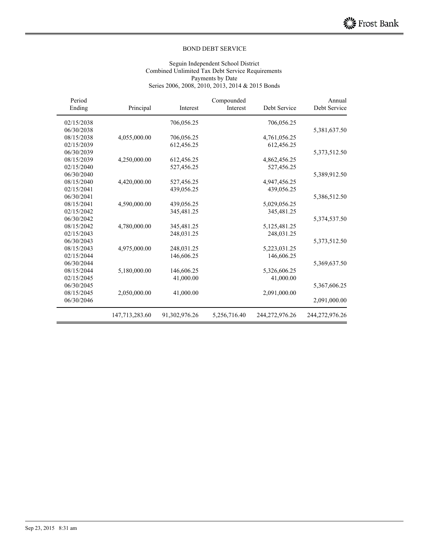#### Seguin Independent School District Combined Unlimited Tax Debt Service Requirements Payments by Date Series 2006, 2008, 2010, 2013, 2014 & 2015 Bonds

| Period     |                |               | Compounded   |                | Annual         |
|------------|----------------|---------------|--------------|----------------|----------------|
| Ending     | Principal      | Interest      | Interest     | Debt Service   | Debt Service   |
| 02/15/2038 |                | 706,056.25    |              | 706,056.25     |                |
| 06/30/2038 |                |               |              |                | 5,381,637.50   |
| 08/15/2038 | 4,055,000.00   | 706,056.25    |              | 4,761,056.25   |                |
| 02/15/2039 |                | 612,456.25    |              | 612,456.25     |                |
| 06/30/2039 |                |               |              |                | 5,373,512.50   |
| 08/15/2039 | 4,250,000.00   | 612,456.25    |              | 4,862,456.25   |                |
| 02/15/2040 |                | 527,456.25    |              | 527,456.25     |                |
| 06/30/2040 |                |               |              |                | 5,389,912.50   |
| 08/15/2040 | 4,420,000.00   | 527,456.25    |              | 4,947,456.25   |                |
| 02/15/2041 |                | 439,056.25    |              | 439,056.25     |                |
| 06/30/2041 |                |               |              |                | 5,386,512.50   |
| 08/15/2041 | 4,590,000.00   | 439,056.25    |              | 5,029,056.25   |                |
| 02/15/2042 |                | 345,481.25    |              | 345,481.25     |                |
| 06/30/2042 |                |               |              |                | 5,374,537.50   |
| 08/15/2042 | 4,780,000.00   | 345,481.25    |              | 5,125,481.25   |                |
| 02/15/2043 |                | 248,031.25    |              | 248,031.25     |                |
| 06/30/2043 |                |               |              |                | 5,373,512.50   |
| 08/15/2043 | 4,975,000.00   | 248,031.25    |              | 5,223,031.25   |                |
| 02/15/2044 |                | 146,606.25    |              | 146,606.25     |                |
| 06/30/2044 |                |               |              |                | 5,369,637.50   |
| 08/15/2044 | 5,180,000.00   | 146,606.25    |              | 5,326,606.25   |                |
| 02/15/2045 |                | 41,000.00     |              | 41,000.00      |                |
| 06/30/2045 |                |               |              |                | 5,367,606.25   |
| 08/15/2045 | 2,050,000.00   | 41,000.00     |              | 2,091,000.00   |                |
| 06/30/2046 |                |               |              |                | 2,091,000.00   |
|            | 147,713,283.60 | 91,302,976.26 | 5,256,716.40 | 244,272,976.26 | 244,272,976.26 |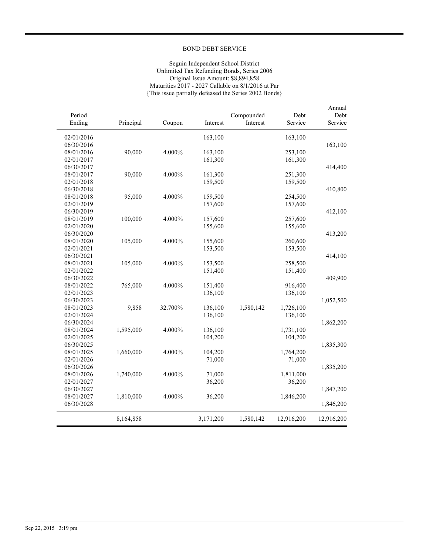#### Seguin Independent School District Unlimited Tax Refunding Bonds, Series 2006 Original Issue Amount: \$8,894,858 Maturities 2017 - 2027 Callable on 8/1/2016 at Par {This issue partially defeased the Series 2002 Bonds}

| Annual<br>Debt | Debt       | Compounded |           |         |           | Period     |
|----------------|------------|------------|-----------|---------|-----------|------------|
| Service        | Service    | Interest   | Interest  | Coupon  | Principal | Ending     |
|                |            |            |           |         |           |            |
|                | 163,100    |            | 163,100   |         |           | 02/01/2016 |
| 163,100        |            |            |           |         |           | 06/30/2016 |
|                | 253,100    |            | 163,100   | 4.000%  | 90,000    | 08/01/2016 |
|                | 161,300    |            | 161,300   |         |           | 02/01/2017 |
| 414,400        |            |            |           |         |           | 06/30/2017 |
|                | 251,300    |            | 161,300   | 4.000%  | 90,000    | 08/01/2017 |
|                | 159,500    |            | 159,500   |         |           | 02/01/2018 |
| 410,800        |            |            |           |         |           | 06/30/2018 |
|                | 254,500    |            | 159,500   | 4.000%  | 95,000    | 08/01/2018 |
|                | 157,600    |            | 157,600   |         |           | 02/01/2019 |
| 412,100        |            |            |           |         |           | 06/30/2019 |
|                | 257,600    |            | 157,600   | 4.000%  | 100,000   | 08/01/2019 |
|                | 155,600    |            | 155,600   |         |           | 02/01/2020 |
| 413,200        |            |            |           |         |           | 06/30/2020 |
|                | 260,600    |            | 155,600   | 4.000%  | 105,000   | 08/01/2020 |
|                | 153,500    |            | 153,500   |         |           | 02/01/2021 |
| 414,100        |            |            |           |         |           | 06/30/2021 |
|                | 258,500    |            | 153,500   | 4.000%  | 105,000   | 08/01/2021 |
|                | 151,400    |            | 151,400   |         |           | 02/01/2022 |
| 409,900        |            |            |           |         |           | 06/30/2022 |
|                | 916,400    |            | 151,400   | 4.000%  | 765,000   | 08/01/2022 |
|                | 136,100    |            | 136,100   |         |           | 02/01/2023 |
| 1,052,500      |            |            |           |         |           | 06/30/2023 |
|                | 1,726,100  | 1,580,142  | 136,100   | 32.700% | 9,858     | 08/01/2023 |
|                | 136,100    |            | 136,100   |         |           | 02/01/2024 |
| 1,862,200      |            |            |           |         |           | 06/30/2024 |
|                | 1,731,100  |            | 136,100   | 4.000%  | 1,595,000 | 08/01/2024 |
|                | 104,200    |            | 104,200   |         |           | 02/01/2025 |
| 1,835,300      |            |            |           |         |           | 06/30/2025 |
|                | 1,764,200  |            | 104,200   | 4.000%  | 1,660,000 | 08/01/2025 |
|                | 71,000     |            | 71,000    |         |           | 02/01/2026 |
| 1,835,200      |            |            |           |         |           | 06/30/2026 |
|                | 1,811,000  |            | 71,000    | 4.000%  | 1,740,000 | 08/01/2026 |
|                | 36,200     |            | 36,200    |         |           | 02/01/2027 |
| 1,847,200      |            |            |           |         |           | 06/30/2027 |
|                | 1,846,200  |            | 36,200    | 4.000%  | 1,810,000 | 08/01/2027 |
| 1,846,200      |            |            |           |         |           | 06/30/2028 |
| 12,916,200     | 12,916,200 | 1,580,142  | 3,171,200 |         | 8,164,858 |            |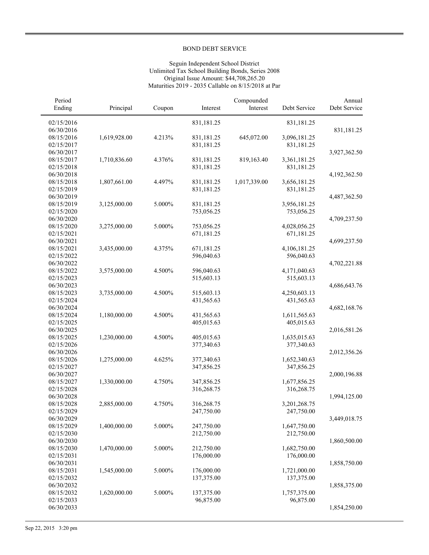#### Seguin Independent School District Unlimited Tax School Building Bonds, Series 2008 Original Issue Amount: \$44,708,265.20 Maturities 2019 - 2035 Callable on 8/15/2018 at Par

| Period<br>Ending | Principal    | Coupon | Interest   | Compounded<br>Interest | Debt Service | Annual<br>Debt Service |
|------------------|--------------|--------|------------|------------------------|--------------|------------------------|
| 02/15/2016       |              |        | 831,181.25 |                        | 831,181.25   |                        |
| 06/30/2016       |              |        |            |                        |              | 831,181.25             |
| 08/15/2016       | 1,619,928.00 | 4.213% | 831,181.25 | 645,072.00             | 3,096,181.25 |                        |
| 02/15/2017       |              |        | 831,181.25 |                        | 831,181.25   |                        |
| 06/30/2017       |              |        |            |                        |              | 3,927,362.50           |
| 08/15/2017       | 1,710,836.60 | 4.376% | 831,181.25 | 819,163.40             | 3,361,181.25 |                        |
| 02/15/2018       |              |        | 831,181.25 |                        | 831,181.25   |                        |
| 06/30/2018       |              |        |            |                        |              | 4,192,362.50           |
| 08/15/2018       | 1,807,661.00 | 4.497% | 831,181.25 | 1,017,339.00           | 3,656,181.25 |                        |
| 02/15/2019       |              |        | 831,181.25 |                        | 831,181.25   |                        |
| 06/30/2019       |              |        |            |                        |              | 4,487,362.50           |
| 08/15/2019       | 3,125,000.00 | 5.000% | 831,181.25 |                        | 3,956,181.25 |                        |
| 02/15/2020       |              |        | 753,056.25 |                        | 753,056.25   |                        |
| 06/30/2020       |              |        |            |                        |              | 4,709,237.50           |
| 08/15/2020       | 3,275,000.00 | 5.000% | 753,056.25 |                        | 4,028,056.25 |                        |
| 02/15/2021       |              |        | 671,181.25 |                        | 671,181.25   |                        |
| 06/30/2021       |              |        |            |                        |              | 4,699,237.50           |
| 08/15/2021       | 3,435,000.00 | 4.375% | 671,181.25 |                        | 4,106,181.25 |                        |
| 02/15/2022       |              |        | 596,040.63 |                        | 596,040.63   |                        |
| 06/30/2022       |              |        |            |                        |              | 4,702,221.88           |
| 08/15/2022       | 3,575,000.00 | 4.500% | 596,040.63 |                        | 4,171,040.63 |                        |
| 02/15/2023       |              |        | 515,603.13 |                        | 515,603.13   |                        |
| 06/30/2023       |              |        |            |                        |              | 4,686,643.76           |
| 08/15/2023       | 3,735,000.00 | 4.500% | 515,603.13 |                        | 4,250,603.13 |                        |
| 02/15/2024       |              |        | 431,565.63 |                        | 431,565.63   |                        |
| 06/30/2024       |              |        |            |                        |              | 4,682,168.76           |
| 08/15/2024       | 1,180,000.00 | 4.500% | 431,565.63 |                        | 1,611,565.63 |                        |
| 02/15/2025       |              |        | 405,015.63 |                        | 405,015.63   |                        |
| 06/30/2025       |              |        |            |                        |              | 2,016,581.26           |
| 08/15/2025       | 1,230,000.00 | 4.500% | 405,015.63 |                        | 1,635,015.63 |                        |
| 02/15/2026       |              |        | 377,340.63 |                        | 377,340.63   |                        |
| 06/30/2026       |              |        |            |                        |              | 2,012,356.26           |
| 08/15/2026       | 1,275,000.00 | 4.625% | 377,340.63 |                        | 1,652,340.63 |                        |
| 02/15/2027       |              |        | 347,856.25 |                        | 347,856.25   |                        |
| 06/30/2027       |              |        |            |                        |              | 2,000,196.88           |
| 08/15/2027       | 1,330,000.00 | 4.750% | 347,856.25 |                        | 1,677,856.25 |                        |
| 02/15/2028       |              |        | 316,268.75 |                        | 316,268.75   |                        |
| 06/30/2028       |              |        |            |                        |              | 1,994,125.00           |
| 08/15/2028       | 2,885,000.00 | 4.750% | 316,268.75 |                        | 3,201,268.75 |                        |
| 02/15/2029       |              |        | 247,750.00 |                        | 247,750.00   |                        |
| 06/30/2029       |              |        |            |                        |              | 3,449,018.75           |
| 08/15/2029       | 1,400,000.00 | 5.000% | 247,750.00 |                        | 1,647,750.00 |                        |
| 02/15/2030       |              |        | 212,750.00 |                        | 212,750.00   |                        |
| 06/30/2030       |              |        |            |                        |              | 1,860,500.00           |
| 08/15/2030       | 1,470,000.00 | 5.000% | 212,750.00 |                        | 1,682,750.00 |                        |
| 02/15/2031       |              |        | 176,000.00 |                        | 176,000.00   |                        |
| 06/30/2031       |              |        |            |                        |              | 1,858,750.00           |
| 08/15/2031       | 1,545,000.00 | 5.000% | 176,000.00 |                        | 1,721,000.00 |                        |
| 02/15/2032       |              |        | 137,375.00 |                        | 137,375.00   |                        |
| 06/30/2032       |              |        |            |                        |              | 1,858,375.00           |
| 08/15/2032       | 1,620,000.00 | 5.000% | 137,375.00 |                        | 1,757,375.00 |                        |
| 02/15/2033       |              |        | 96,875.00  |                        | 96,875.00    |                        |
| 06/30/2033       |              |        |            |                        |              | 1,854,250.00           |
|                  |              |        |            |                        |              |                        |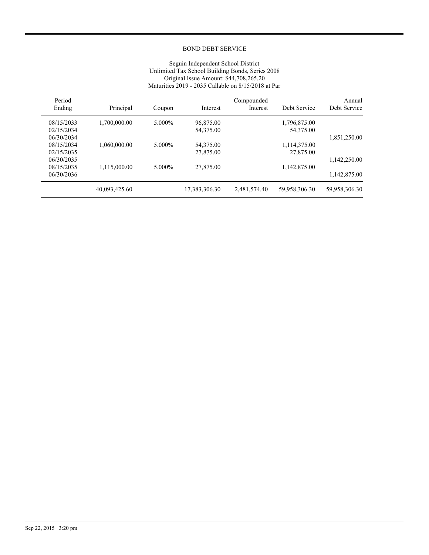#### Seguin Independent School District Unlimited Tax School Building Bonds, Series 2008 Original Issue Amount: \$44,708,265.20 Maturities 2019 - 2035 Callable on 8/15/2018 at Par

| Period     |               |        |               | Compounded   |               | Annual        |
|------------|---------------|--------|---------------|--------------|---------------|---------------|
| Ending     | Principal     | Coupon | Interest      | Interest     | Debt Service  | Debt Service  |
| 08/15/2033 | 1,700,000.00  | 5.000% | 96,875.00     |              | 1,796,875.00  |               |
| 02/15/2034 |               |        | 54,375.00     |              | 54,375.00     |               |
| 06/30/2034 |               |        |               |              |               | 1,851,250.00  |
| 08/15/2034 | 1,060,000.00  | 5.000% | 54,375.00     |              | 1,114,375.00  |               |
| 02/15/2035 |               |        | 27,875.00     |              | 27,875.00     |               |
| 06/30/2035 |               |        |               |              |               | 1,142,250.00  |
| 08/15/2035 | 1,115,000.00  | 5.000% | 27,875.00     |              | 1,142,875.00  |               |
| 06/30/2036 |               |        |               |              |               | 1,142,875.00  |
|            | 40,093,425.60 |        | 17,383,306.30 | 2,481,574.40 | 59,958,306.30 | 59,958,306.30 |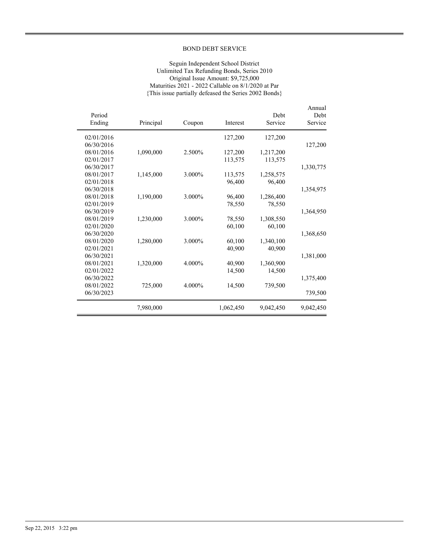#### Seguin Independent School District Unlimited Tax Refunding Bonds, Series 2010 Original Issue Amount: \$9,725,000 Maturities 2021 - 2022 Callable on 8/1/2020 at Par {This issue partially defeased the Series 2002 Bonds}

|            |           |        |           |           | Annual    |
|------------|-----------|--------|-----------|-----------|-----------|
| Period     |           |        |           | Debt      | Debt      |
| Ending     | Principal | Coupon | Interest  | Service   | Service   |
| 02/01/2016 |           |        | 127,200   | 127,200   |           |
| 06/30/2016 |           |        |           |           | 127,200   |
| 08/01/2016 | 1,090,000 | 2.500% | 127,200   | 1,217,200 |           |
| 02/01/2017 |           |        | 113,575   | 113,575   |           |
| 06/30/2017 |           |        |           |           | 1,330,775 |
| 08/01/2017 | 1,145,000 | 3.000% | 113,575   | 1,258,575 |           |
| 02/01/2018 |           |        | 96,400    | 96,400    |           |
| 06/30/2018 |           |        |           |           | 1,354,975 |
| 08/01/2018 | 1,190,000 | 3.000% | 96,400    | 1,286,400 |           |
| 02/01/2019 |           |        | 78,550    | 78,550    |           |
| 06/30/2019 |           |        |           |           | 1,364,950 |
| 08/01/2019 | 1,230,000 | 3.000% | 78,550    | 1,308,550 |           |
| 02/01/2020 |           |        | 60,100    | 60.100    |           |
| 06/30/2020 |           |        |           |           | 1,368,650 |
| 08/01/2020 | 1,280,000 | 3.000% | 60,100    | 1,340,100 |           |
| 02/01/2021 |           |        | 40,900    | 40,900    |           |
| 06/30/2021 |           |        |           |           | 1,381,000 |
| 08/01/2021 | 1,320,000 | 4.000% | 40,900    | 1,360,900 |           |
| 02/01/2022 |           |        | 14,500    | 14,500    |           |
| 06/30/2022 |           |        |           |           | 1,375,400 |
| 08/01/2022 | 725,000   | 4.000% | 14,500    | 739,500   |           |
| 06/30/2023 |           |        |           |           | 739,500   |
|            | 7,980,000 |        | 1,062,450 | 9,042,450 | 9,042,450 |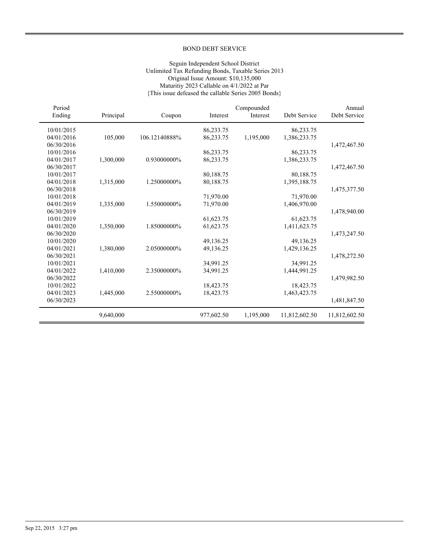#### Seguin Independent School District Unlimited Tax Refunding Bonds, Taxable Series 2013 Original Issue Amount: \$10,135,000 Maturitiy 2023 Callable on 4/1/2022 at Par {This issue defeased the callable Series 2005 Bonds}

| Period     |           |               |            | Compounded |               | Annual        |
|------------|-----------|---------------|------------|------------|---------------|---------------|
| Ending     | Principal | Coupon        | Interest   | Interest   | Debt Service  | Debt Service  |
| 10/01/2015 |           |               | 86,233.75  |            | 86,233.75     |               |
| 04/01/2016 | 105,000   | 106.12140888% | 86,233.75  | 1,195,000  | 1,386,233.75  |               |
| 06/30/2016 |           |               |            |            |               | 1,472,467.50  |
| 10/01/2016 |           |               | 86,233.75  |            | 86,233.75     |               |
| 04/01/2017 | 1,300,000 | 0.93000000%   | 86,233.75  |            | 1,386,233.75  |               |
| 06/30/2017 |           |               |            |            |               | 1,472,467.50  |
| 10/01/2017 |           |               | 80,188.75  |            | 80,188.75     |               |
| 04/01/2018 | 1,315,000 | 1.25000000%   | 80,188.75  |            | 1,395,188.75  |               |
| 06/30/2018 |           |               |            |            |               | 1,475,377.50  |
| 10/01/2018 |           |               | 71,970.00  |            | 71,970.00     |               |
| 04/01/2019 | 1,335,000 | 1.55000000%   | 71,970.00  |            | 1,406,970.00  |               |
| 06/30/2019 |           |               |            |            |               | 1,478,940.00  |
| 10/01/2019 |           |               | 61,623.75  |            | 61,623.75     |               |
| 04/01/2020 | 1,350,000 | 1.85000000%   | 61,623.75  |            | 1,411,623.75  |               |
| 06/30/2020 |           |               |            |            |               | 1,473,247.50  |
| 10/01/2020 |           |               | 49,136.25  |            | 49,136.25     |               |
| 04/01/2021 | 1,380,000 | 2.05000000%   | 49,136.25  |            | 1,429,136.25  |               |
| 06/30/2021 |           |               |            |            |               | 1,478,272.50  |
| 10/01/2021 |           |               | 34,991.25  |            | 34,991.25     |               |
| 04/01/2022 | 1,410,000 | 2.35000000%   | 34,991.25  |            | 1,444,991.25  |               |
| 06/30/2022 |           |               |            |            |               | 1,479,982.50  |
| 10/01/2022 |           |               | 18,423.75  |            | 18,423.75     |               |
| 04/01/2023 | 1,445,000 | 2.55000000%   | 18,423.75  |            | 1,463,423.75  |               |
| 06/30/2023 |           |               |            |            |               | 1,481,847.50  |
|            | 9,640,000 |               | 977,602.50 | 1,195,000  | 11,812,602.50 | 11,812,602.50 |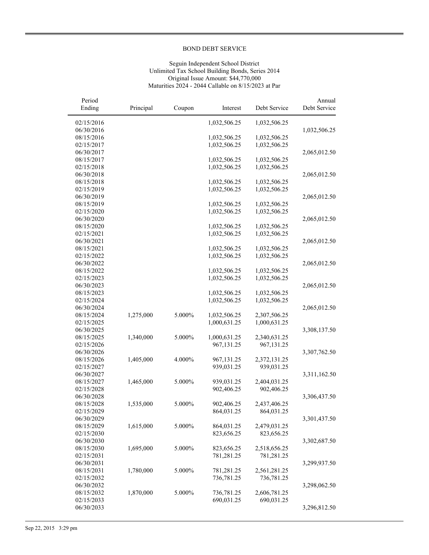#### Seguin Independent School District Unlimited Tax School Building Bonds, Series 2014 Original Issue Amount: \$44,770,000 Maturities 2024 - 2044 Callable on 8/15/2023 at Par

| Period<br>Ending | Principal | Coupon | Interest     | Debt Service | Annual<br>Debt Service |
|------------------|-----------|--------|--------------|--------------|------------------------|
| 02/15/2016       |           |        | 1,032,506.25 | 1,032,506.25 |                        |
| 06/30/2016       |           |        |              |              | 1,032,506.25           |
| 08/15/2016       |           |        | 1,032,506.25 | 1,032,506.25 |                        |
| 02/15/2017       |           |        | 1,032,506.25 | 1,032,506.25 |                        |
| 06/30/2017       |           |        |              |              | 2,065,012.50           |
| 08/15/2017       |           |        | 1,032,506.25 | 1,032,506.25 |                        |
| 02/15/2018       |           |        | 1,032,506.25 | 1,032,506.25 |                        |
| 06/30/2018       |           |        |              |              | 2,065,012.50           |
| 08/15/2018       |           |        | 1,032,506.25 | 1,032,506.25 |                        |
| 02/15/2019       |           |        | 1,032,506.25 | 1,032,506.25 |                        |
| 06/30/2019       |           |        |              |              | 2,065,012.50           |
| 08/15/2019       |           |        | 1,032,506.25 | 1,032,506.25 |                        |
| 02/15/2020       |           |        | 1,032,506.25 | 1,032,506.25 |                        |
| 06/30/2020       |           |        |              |              | 2,065,012.50           |
| 08/15/2020       |           |        | 1,032,506.25 | 1,032,506.25 |                        |
| 02/15/2021       |           |        | 1,032,506.25 | 1,032,506.25 |                        |
| 06/30/2021       |           |        |              |              | 2,065,012.50           |
| 08/15/2021       |           |        | 1,032,506.25 | 1,032,506.25 |                        |
| 02/15/2022       |           |        | 1,032,506.25 | 1,032,506.25 |                        |
| 06/30/2022       |           |        |              |              | 2,065,012.50           |
| 08/15/2022       |           |        | 1,032,506.25 | 1,032,506.25 |                        |
| 02/15/2023       |           |        | 1,032,506.25 | 1,032,506.25 |                        |
| 06/30/2023       |           |        |              |              | 2,065,012.50           |
| 08/15/2023       |           |        | 1,032,506.25 | 1,032,506.25 |                        |
| 02/15/2024       |           |        | 1,032,506.25 | 1,032,506.25 |                        |
| 06/30/2024       |           |        |              |              | 2,065,012.50           |
| 08/15/2024       | 1,275,000 | 5.000% | 1,032,506.25 | 2,307,506.25 |                        |
| 02/15/2025       |           |        | 1,000,631.25 | 1,000,631.25 |                        |
| 06/30/2025       |           |        |              |              | 3,308,137.50           |
| 08/15/2025       | 1,340,000 | 5.000% | 1,000,631.25 | 2,340,631.25 |                        |
| 02/15/2026       |           |        | 967,131.25   | 967,131.25   |                        |
| 06/30/2026       |           |        |              |              | 3,307,762.50           |
| 08/15/2026       | 1,405,000 | 4.000% | 967,131.25   | 2,372,131.25 |                        |
| 02/15/2027       |           |        | 939,031.25   | 939,031.25   |                        |
| 06/30/2027       |           |        |              |              | 3,311,162.50           |
| 08/15/2027       | 1,465,000 | 5.000% | 939,031.25   | 2,404,031.25 |                        |
| 02/15/2028       |           |        | 902,406.25   | 902,406.25   |                        |
| 06/30/2028       |           |        |              |              | 3,306,437.50           |
| 08/15/2028       | 1,535,000 | 5.000% | 902,406.25   | 2,437,406.25 |                        |
| 02/15/2029       |           |        | 864,031.25   | 864,031.25   |                        |
| 06/30/2029       |           |        |              |              | 3,301,437.50           |
| 08/15/2029       | 1,615,000 | 5.000% | 864,031.25   | 2,479,031.25 |                        |
| 02/15/2030       |           |        | 823,656.25   | 823,656.25   |                        |
| 06/30/2030       |           |        |              |              | 3,302,687.50           |
| 08/15/2030       | 1,695,000 | 5.000% | 823,656.25   | 2,518,656.25 |                        |
| 02/15/2031       |           |        | 781,281.25   | 781,281.25   |                        |
| 06/30/2031       |           |        |              |              | 3,299,937.50           |
| 08/15/2031       | 1,780,000 | 5.000% | 781,281.25   | 2,561,281.25 |                        |
| 02/15/2032       |           |        | 736,781.25   | 736,781.25   |                        |
| 06/30/2032       |           |        |              |              | 3,298,062.50           |
| 08/15/2032       | 1,870,000 | 5.000% | 736,781.25   | 2,606,781.25 |                        |
| 02/15/2033       |           |        | 690,031.25   | 690,031.25   |                        |
| 06/30/2033       |           |        |              |              | 3,296,812.50           |
|                  |           |        |              |              |                        |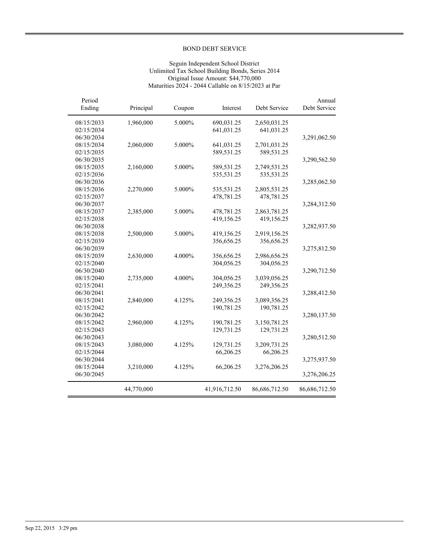#### Seguin Independent School District Unlimited Tax School Building Bonds, Series 2014 Original Issue Amount: \$44,770,000 Maturities 2024 - 2044 Callable on 8/15/2023 at Par

| Period<br>Ending | Principal  | Coupon | Interest      | Debt Service  | Annual<br>Debt Service |
|------------------|------------|--------|---------------|---------------|------------------------|
| 08/15/2033       | 1,960,000  | 5.000% | 690,031.25    | 2,650,031.25  |                        |
| 02/15/2034       |            |        | 641,031.25    | 641,031.25    |                        |
| 06/30/2034       |            |        |               |               | 3,291,062.50           |
| 08/15/2034       | 2,060,000  | 5.000% | 641,031.25    | 2,701,031.25  |                        |
| 02/15/2035       |            |        | 589,531.25    | 589,531.25    |                        |
| 06/30/2035       |            |        |               |               | 3,290,562.50           |
| 08/15/2035       | 2,160,000  | 5.000% | 589,531.25    | 2,749,531.25  |                        |
| 02/15/2036       |            |        | 535,531.25    | 535,531.25    |                        |
| 06/30/2036       |            |        |               |               | 3,285,062.50           |
| 08/15/2036       | 2,270,000  | 5.000% | 535,531.25    | 2,805,531.25  |                        |
| 02/15/2037       |            |        | 478,781.25    | 478,781.25    |                        |
| 06/30/2037       |            |        |               |               | 3,284,312.50           |
| 08/15/2037       | 2,385,000  | 5.000% | 478,781.25    | 2,863,781.25  |                        |
| 02/15/2038       |            |        | 419,156.25    | 419,156.25    |                        |
| 06/30/2038       |            |        |               |               | 3,282,937.50           |
| 08/15/2038       | 2,500,000  | 5.000% | 419,156.25    | 2,919,156.25  |                        |
| 02/15/2039       |            |        | 356,656.25    | 356,656.25    |                        |
| 06/30/2039       |            |        |               |               | 3,275,812.50           |
| 08/15/2039       | 2,630,000  | 4.000% | 356,656.25    | 2,986,656.25  |                        |
| 02/15/2040       |            |        | 304,056.25    | 304,056.25    |                        |
| 06/30/2040       |            |        |               |               | 3,290,712.50           |
| 08/15/2040       | 2,735,000  | 4.000% | 304,056.25    | 3,039,056.25  |                        |
| 02/15/2041       |            |        | 249,356.25    | 249,356.25    |                        |
| 06/30/2041       |            |        |               |               | 3,288,412.50           |
| 08/15/2041       | 2,840,000  | 4.125% | 249,356.25    | 3,089,356.25  |                        |
| 02/15/2042       |            |        | 190,781.25    | 190,781.25    |                        |
| 06/30/2042       |            |        |               |               | 3,280,137.50           |
| 08/15/2042       | 2,960,000  | 4.125% | 190,781.25    | 3,150,781.25  |                        |
| 02/15/2043       |            |        | 129,731.25    | 129,731.25    |                        |
| 06/30/2043       |            |        |               |               | 3,280,512.50           |
| 08/15/2043       | 3,080,000  | 4.125% | 129,731.25    | 3,209,731.25  |                        |
| 02/15/2044       |            |        | 66,206.25     | 66,206.25     |                        |
| 06/30/2044       |            |        |               |               | 3,275,937.50           |
| 08/15/2044       | 3,210,000  | 4.125% | 66,206.25     | 3,276,206.25  |                        |
| 06/30/2045       |            |        |               |               | 3,276,206.25           |
|                  | 44,770,000 |        | 41,916,712.50 | 86,686,712.50 | 86,686,712.50          |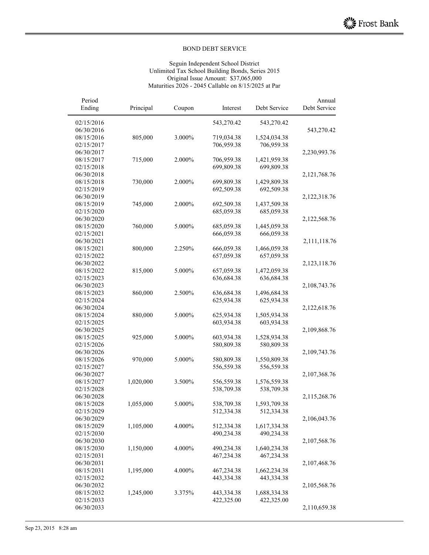#### Seguin Independent School District Unlimited Tax School Building Bonds, Series 2015 Original Issue Amount: \$37,065,000 Maturities 2026 - 2045 Callable on 8/15/2025 at Par

| Period<br>Ending         | Principal | Coupon | Interest   | Debt Service               | Annual<br>Debt Service |
|--------------------------|-----------|--------|------------|----------------------------|------------------------|
| 02/15/2016               |           |        | 543,270.42 | 543,270.42                 |                        |
| 06/30/2016               |           |        |            |                            | 543,270.42             |
| 08/15/2016               | 805,000   | 3.000% | 719,034.38 | 1,524,034.38               |                        |
| 02/15/2017               |           |        | 706,959.38 | 706,959.38                 |                        |
| 06/30/2017               |           |        |            |                            | 2,230,993.76           |
| 08/15/2017               | 715,000   | 2.000% | 706,959.38 | 1,421,959.38               |                        |
| 02/15/2018               |           |        | 699,809.38 | 699,809.38                 |                        |
| 06/30/2018               |           |        |            |                            | 2,121,768.76           |
| 08/15/2018               | 730,000   | 2.000% | 699,809.38 | 1,429,809.38               |                        |
| 02/15/2019               |           |        | 692,509.38 | 692,509.38                 |                        |
| 06/30/2019               |           |        |            |                            | 2,122,318.76           |
| 08/15/2019               | 745,000   | 2.000% | 692,509.38 | 1,437,509.38               |                        |
| 02/15/2020               |           |        | 685,059.38 | 685,059.38                 |                        |
| 06/30/2020               |           |        |            |                            | 2,122,568.76           |
| 08/15/2020               | 760,000   | 5.000% | 685,059.38 | 1,445,059.38               |                        |
| 02/15/2021               |           |        | 666,059.38 | 666,059.38                 |                        |
| 06/30/2021               |           |        |            |                            | 2,111,118.76           |
| 08/15/2021               | 800,000   | 2.250% | 666,059.38 | 1,466,059.38               |                        |
| 02/15/2022               |           |        | 657,059.38 | 657,059.38                 |                        |
| 06/30/2022               |           |        |            |                            | 2,123,118.76           |
| 08/15/2022               | 815,000   | 5.000% | 657,059.38 | 1,472,059.38               |                        |
| 02/15/2023               |           |        | 636,684.38 | 636,684.38                 |                        |
| 06/30/2023               |           |        |            |                            | 2,108,743.76           |
| 08/15/2023               | 860,000   | 2.500% | 636,684.38 | 1,496,684.38               |                        |
| 02/15/2024               |           |        | 625,934.38 | 625,934.38                 |                        |
| 06/30/2024               |           |        |            |                            | 2,122,618.76           |
| 08/15/2024               | 880,000   | 5.000% | 625,934.38 | 1,505,934.38               |                        |
| 02/15/2025               |           |        | 603,934.38 | 603,934.38                 |                        |
| 06/30/2025               |           |        |            |                            | 2,109,868.76           |
| 08/15/2025               | 925,000   | 5.000% | 603,934.38 | 1,528,934.38               |                        |
| 02/15/2026               |           |        | 580,809.38 | 580,809.38                 |                        |
| 06/30/2026               |           |        |            |                            | 2,109,743.76           |
| 08/15/2026               | 970,000   | 5.000% | 580,809.38 | 1,550,809.38               |                        |
| 02/15/2027               |           |        | 556,559.38 | 556,559.38                 |                        |
| 06/30/2027               |           |        |            |                            | 2,107,368.76           |
| 08/15/2027               | 1,020,000 | 3.500% | 556,559.38 | 1,576,559.38               |                        |
| 02/15/2028               |           |        | 538,709.38 | 538,709.38                 |                        |
| 06/30/2028               |           |        |            |                            | 2,115,268.76           |
| 08/15/2028               | 1,055,000 | 5.000% | 538,709.38 | 1,593,709.38               |                        |
| 02/15/2029               |           |        | 512,334.38 | 512,334.38                 | 2,106,043.76           |
| 06/30/2029<br>08/15/2029 |           |        | 512,334.38 |                            |                        |
| 02/15/2030               | 1,105,000 | 4.000% | 490,234.38 | 1,617,334.38<br>490,234.38 |                        |
| 06/30/2030               |           |        |            |                            | 2,107,568.76           |
| 08/15/2030               | 1,150,000 | 4.000% | 490,234.38 | 1,640,234.38               |                        |
| 02/15/2031               |           |        | 467,234.38 | 467,234.38                 |                        |
| 06/30/2031               |           |        |            |                            | 2,107,468.76           |
| 08/15/2031               | 1,195,000 | 4.000% | 467,234.38 | 1,662,234.38               |                        |
| 02/15/2032               |           |        | 443,334.38 | 443,334.38                 |                        |
| 06/30/2032               |           |        |            |                            | 2,105,568.76           |
| 08/15/2032               | 1,245,000 | 3.375% | 443,334.38 | 1,688,334.38               |                        |
| 02/15/2033               |           |        | 422,325.00 | 422,325.00                 |                        |
| 06/30/2033               |           |        |            |                            | 2,110,659.38           |
|                          |           |        |            |                            |                        |